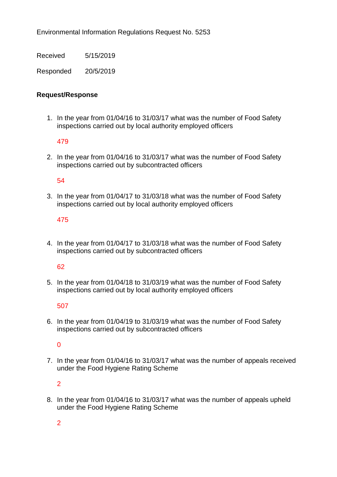Environmental Information Regulations Request No. 5253

Received 5/15/2019

Responded 20/5/2019

# **Request/Response**

1. In the year from 01/04/16 to 31/03/17 what was the number of Food Safety inspections carried out by local authority employed officers

479

2. In the year from 01/04/16 to 31/03/17 what was the number of Food Safety inspections carried out by subcontracted officers

## 54

3. In the year from 01/04/17 to 31/03/18 what was the number of Food Safety inspections carried out by local authority employed officers

# 475

4. In the year from 01/04/17 to 31/03/18 what was the number of Food Safety inspections carried out by subcontracted officers

## 62

5. In the year from 01/04/18 to 31/03/19 what was the number of Food Safety inspections carried out by local authority employed officers

## 507

6. In the year from 01/04/19 to 31/03/19 what was the number of Food Safety inspections carried out by subcontracted officers

## $\Omega$

7. In the year from 01/04/16 to 31/03/17 what was the number of appeals received under the Food Hygiene Rating Scheme

2

8. In the year from 01/04/16 to 31/03/17 what was the number of appeals upheld under the Food Hygiene Rating Scheme

2